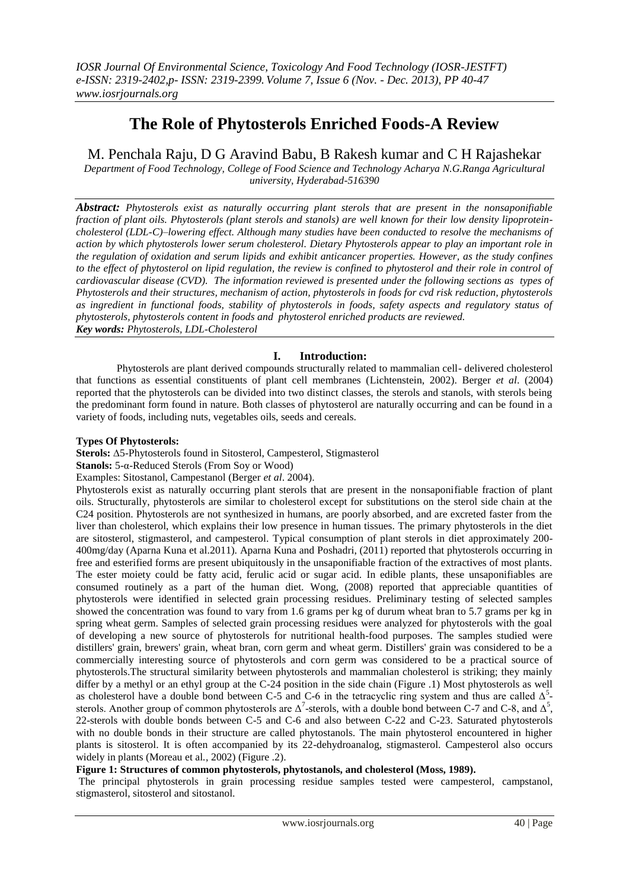# **The Role of Phytosterols Enriched Foods-A Review**

M. Penchala Raju, D G Aravind Babu, B Rakesh kumar and C H Rajashekar

*Department of Food Technology, College of Food Science and Technology Acharya N.G.Ranga Agricultural university, Hyderabad-516390*

*Abstract: Phytosterols exist as naturally occurring plant sterols that are present in the nonsaponifiable fraction of plant oils. Phytosterols (plant sterols and stanols) are well known for their low density lipoproteincholesterol (LDL-C)–lowering effect. Although many studies have been conducted to resolve the mechanisms of action by which phytosterols lower serum cholesterol. Dietary Phytosterols appear to play an important role in the regulation of oxidation and serum lipids and exhibit anticancer properties. However, as the study confines to the effect of phytosterol on lipid regulation, the review is confined to phytosterol and their role in control of cardiovascular disease (CVD). The information reviewed is presented under the following sections as types of Phytosterols and their structures, mechanism of action, phytosterols in foods for cvd risk reduction, phytosterols as ingredient in functional foods, stability of phytosterols in foods, safety aspects and regulatory status of phytosterols, phytosterols content in foods and phytosterol enriched products are reviewed. Key words: Phytosterols, LDL-Cholesterol*

# **I. Introduction:**

Phytosterols are plant derived compounds structurally related to mammalian cell- delivered cholesterol that functions as essential constituents of plant cell membranes (Lichtenstein, 2002). Berger *et al*. (2004) reported that the phytosterols can be divided into two distinct classes, the sterols and stanols, with sterols being the predominant form found in nature. Both classes of phytosterol are naturally occurring and can be found in a variety of foods, including nuts, vegetables oils, seeds and cereals.

## **Types Of Phytosterols:**

**Sterols:** ∆5-Phytosterols found in Sitosterol, Campesterol, Stigmasterol

```
Stanols: 5-α-Reduced Sterols (From Soy or Wood)
```
Examples: Sitostanol, Campestanol (Berger *et al*. 2004).

Phytosterols exist as naturally occurring plant sterols that are present in the nonsaponifiable fraction of plant oils. Structurally, phytosterols are similar to cholesterol except for substitutions on the sterol side chain at the C24 position. Phytosterols are not synthesized in humans, are poorly absorbed, and are excreted faster from the liver than cholesterol, which explains their low presence in human tissues. The primary phytosterols in the diet are sitosterol, stigmasterol, and campesterol. Typical consumption of plant sterols in diet approximately 200- 400mg/day (Aparna Kuna et al.2011). Aparna Kuna and Poshadri, (2011) reported that phytosterols occurring in free and esterified forms are present ubiquitously in the unsaponifiable fraction of the extractives of most plants. The ester moiety could be fatty acid, ferulic acid or sugar acid. In edible plants, these unsaponifiables are consumed routinely as a part of the human diet. Wong, (2008) reported that appreciable quantities of phytosterols were identified in selected grain processing residues. Preliminary testing of selected samples showed the concentration was found to vary from 1.6 grams per kg of durum wheat bran to 5.7 grams per kg in spring wheat germ. Samples of selected grain processing residues were analyzed for phytosterols with the goal of developing a new source of phytosterols for nutritional health-food purposes. The samples studied were distillers' grain, brewers' grain, wheat bran, corn germ and wheat germ. Distillers' grain was considered to be a commercially interesting source of phytosterols and corn germ was considered to be a practical source of phytosterols.The structural similarity between phytosterols and mammalian cholesterol is striking; they mainly differ by a methyl or an ethyl group at the C-24 position in the side chain (Figure .1) Most phytosterols as well as cholesterol have a double bond between C-5 and C-6 in the tetracyclic ring system and thus are called  $\Delta^5$ sterols. Another group of common phytosterols are  $\Delta^7$ -sterols, with a double bond between C-7 and C-8, and  $\Delta^5$ , 22-sterols with double bonds between C-5 and C-6 and also between C-22 and C-23. Saturated phytosterols with no double bonds in their structure are called phytostanols. The main phytosterol encountered in higher plants is sitosterol. It is often accompanied by its 22-dehydroanalog, stigmasterol. Campesterol also occurs widely in plants (Moreau et al*.,* 2002) (Figure .2).

# **Figure 1: Structures of common phytosterols, phytostanols, and cholesterol (Moss, 1989).**

The principal phytosterols in grain processing residue samples tested were campesterol, campstanol, stigmasterol, sitosterol and sitostanol.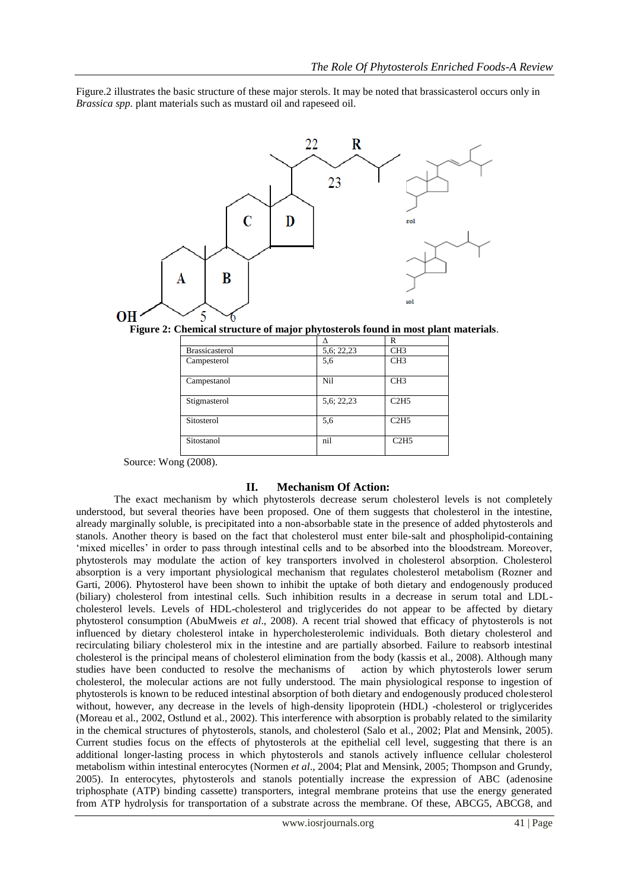Figure.2 illustrates the basic structure of these major sterols. It may be noted that brassicasterol occurs only in *Brassica spp.* plant materials such as mustard oil and rapeseed oil.



**Figure 2: Chemical structure of major phytosterols found in most plant materials**.

|                       |            | R               |
|-----------------------|------------|-----------------|
| <b>Brassicasterol</b> | 5,6; 22,23 | CH <sub>3</sub> |
| Campesterol           | 5,6        | CH <sub>3</sub> |
| Campestanol           | Nil        | CH <sub>3</sub> |
| Stigmasterol          | 5,6; 22,23 | C2H5            |
| Sitosterol            | 5,6        | C2H5            |
| Sitostanol            | nil        | C2H5            |

Source: Wong (2008).

#### **II. Mechanism Of Action:**

The exact mechanism by which phytosterols decrease serum cholesterol levels is not completely understood, but several theories have been proposed. One of them suggests that cholesterol in the intestine, already marginally soluble, is precipitated into a non-absorbable state in the presence of added phytosterols and stanols. Another theory is based on the fact that cholesterol must enter bile-salt and phospholipid-containing 'mixed micelles' in order to pass through intestinal cells and to be absorbed into the bloodstream. Moreover, phytosterols may modulate the action of key transporters involved in cholesterol absorption. Cholesterol absorption is a very important physiological mechanism that regulates cholesterol metabolism (Rozner and Garti, 2006). Phytosterol have been shown to inhibit the uptake of both dietary and endogenously produced (biliary) cholesterol from intestinal cells. Such inhibition results in a decrease in serum total and LDLcholesterol levels. Levels of HDL-cholesterol and triglycerides do not appear to be affected by dietary phytosterol consumption (AbuMweis *et al*., 2008). A recent trial showed that efficacy of phytosterols is not influenced by dietary cholesterol intake in hypercholesterolemic individuals. Both dietary cholesterol and recirculating biliary cholesterol mix in the intestine and are partially absorbed. Failure to reabsorb intestinal cholesterol is the principal means of cholesterol elimination from the body (kassis et al., 2008). Although many studies have been conducted to resolve the mechanisms of action by which phytosterols lower serum cholesterol, the molecular actions are not fully understood. The main physiological response to ingestion of phytosterols is known to be reduced intestinal absorption of both dietary and endogenously produced cholesterol without, however, any decrease in the levels of high-density lipoprotein (HDL) -cholesterol or triglycerides (Moreau et al., 2002, Ostlund et al., 2002). This interference with absorption is probably related to the similarity in the chemical structures of phytosterols, stanols, and cholesterol (Salo et al., 2002; Plat and Mensink, 2005). Current studies focus on the effects of phytosterols at the epithelial cell level, suggesting that there is an additional longer-lasting process in which phytosterols and stanols actively influence cellular cholesterol metabolism within intestinal enterocytes (Normen *et al*., 2004; Plat and Mensink, 2005; Thompson and Grundy, 2005). In enterocytes, phytosterols and stanols potentially increase the expression of ABC (adenosine triphosphate (ATP) binding cassette) transporters, integral membrane proteins that use the energy generated from ATP hydrolysis for transportation of a substrate across the membrane. Of these, ABCG5, ABCG8, and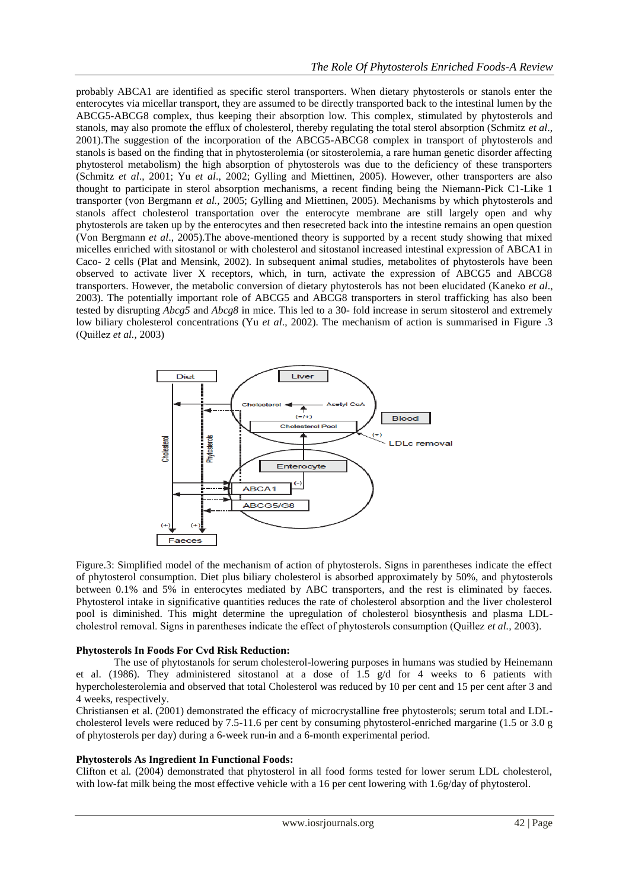probably ABCA1 are identified as specific sterol transporters. When dietary phytosterols or stanols enter the enterocytes via micellar transport, they are assumed to be directly transported back to the intestinal lumen by the ABCG5-ABCG8 complex, thus keeping their absorption low. This complex, stimulated by phytosterols and stanols, may also promote the efflux of cholesterol, thereby regulating the total sterol absorption (Schmitz *et al*., 2001).The suggestion of the incorporation of the ABCG5-ABCG8 complex in transport of phytosterols and stanols is based on the finding that in phytosterolemia (or sitosterolemia, a rare human genetic disorder affecting phytosterol metabolism) the high absorption of phytosterols was due to the deficiency of these transporters (Schmitz *et al*., 2001; Yu *et al*., 2002; Gylling and Miettinen, 2005). However, other transporters are also thought to participate in sterol absorption mechanisms, a recent finding being the Niemann-Pick C1-Like 1 transporter (von Bergmann *et al.,* 2005; Gylling and Miettinen, 2005). Mechanisms by which phytosterols and stanols affect cholesterol transportation over the enterocyte membrane are still largely open and why phytosterols are taken up by the enterocytes and then resecreted back into the intestine remains an open question (Von Bergmann *et al*., 2005).The above-mentioned theory is supported by a recent study showing that mixed micelles enriched with sitostanol or with cholesterol and sitostanol increased intestinal expression of ABCA1 in Caco- 2 cells (Plat and Mensink, 2002). In subsequent animal studies, metabolites of phytosterols have been observed to activate liver X receptors, which, in turn, activate the expression of ABCG5 and ABCG8 transporters. However, the metabolic conversion of dietary phytosterols has not been elucidated (Kaneko *et al*., 2003). The potentially important role of ABCG5 and ABCG8 transporters in sterol trafficking has also been tested by disrupting *Abcg5* and *Abcg8* in mice. This led to a 30- fold increase in serum sitosterol and extremely low biliary cholesterol concentrations (Yu *et al*., 2002). The mechanism of action is summarised in Figure .3 (Quiłlez *et al.,* 2003)



Figure.3: Simplified model of the mechanism of action of phytosterols. Signs in parentheses indicate the effect of phytosterol consumption. Diet plus biliary cholesterol is absorbed approximately by 50%, and phytosterols between 0.1% and 5% in enterocytes mediated by ABC transporters, and the rest is eliminated by faeces. Phytosterol intake in significative quantities reduces the rate of cholesterol absorption and the liver cholesterol pool is diminished. This might determine the upregulation of cholesterol biosynthesis and plasma LDLcholestrol removal. Signs in parentheses indicate the effect of phytosterols consumption (Quiłlez *et al.,* 2003).

#### **Phytosterols In Foods For Cvd Risk Reduction:**

The use of phytostanols for serum cholesterol-lowering purposes in humans was studied by Heinemann et al. (1986). They administered sitostanol at a dose of  $1.5 \text{ g/d}$  for 4 weeks to 6 patients with hypercholesterolemia and observed that total Cholesterol was reduced by 10 per cent and 15 per cent after 3 and 4 weeks, respectively.

Christiansen et al. (2001) demonstrated the efficacy of microcrystalline free phytosterols; serum total and LDLcholesterol levels were reduced by 7.5-11.6 per cent by consuming phytosterol-enriched margarine (1.5 or 3.0 g of phytosterols per day) during a 6-week run-in and a 6-month experimental period.

#### **Phytosterols As Ingredient In Functional Foods:**

Clifton et al. (2004) demonstrated that phytosterol in all food forms tested for lower serum LDL cholesterol, with low-fat milk being the most effective vehicle with a 16 per cent lowering with 1.6g/day of phytosterol.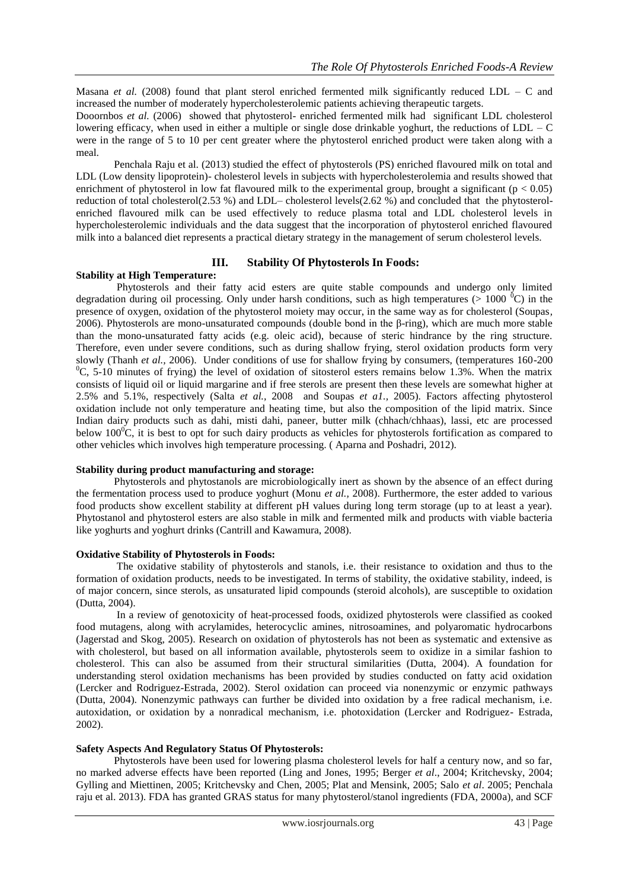Masana *et al.* (2008) found that plant sterol enriched fermented milk significantly reduced LDL – C and increased the number of moderately hypercholesterolemic patients achieving therapeutic targets.

Dooornbos *et al.* (2006) showed that phytosterol- enriched fermented milk had significant LDL cholesterol lowering efficacy, when used in either a multiple or single dose drinkable yoghurt, the reductions of LDL – C were in the range of 5 to 10 per cent greater where the phytosterol enriched product were taken along with a meal.

Penchala Raju et al. (2013) studied the effect of phytosterols (PS) enriched flavoured milk on total and LDL (Low density lipoprotein)- cholesterol levels in subjects with hypercholesterolemia and results showed that enrichment of phytosterol in low fat flavoured milk to the experimental group, brought a significant ( $p < 0.05$ ) reduction of total cholesterol(2.53 %) and LDL– cholesterol levels(2.62 %) and concluded that the phytosterolenriched flavoured milk can be used effectively to reduce plasma total and LDL cholesterol levels in hypercholesterolemic individuals and the data suggest that the incorporation of phytosterol enriched flavoured milk into a balanced diet represents a practical dietary strategy in the management of serum cholesterol levels.

## **III. Stability Of Phytosterols In Foods:**

#### **Stability at High Temperature:**

Phytosterols and their fatty acid esters are quite stable compounds and undergo only limited degradation during oil processing. Only under harsh conditions, such as high temperatures ( $> 1000$  <sup>0</sup>C) in the presence of oxygen, oxidation of the phytosterol moiety may occur, in the same way as for cholesterol (Soupas*,*  2006). Phytosterols are mono-unsaturated compounds (double bond in the β-ring), which are much more stable than the mono-unsaturated fatty acids (e.g. oleic acid), because of steric hindrance by the ring structure. Therefore, even under severe conditions, such as during shallow frying, sterol oxidation products form very slowly (Thanh *et al.,* 2006). Under conditions of use for shallow frying by consumers, (temperatures 160-200  $^{0}$ C, 5-10 minutes of frying) the level of oxidation of sitosterol esters remains below 1.3%. When the matrix consists of liquid oil or liquid margarine and if free sterols are present then these levels are somewhat higher at 2.5% and 5.1%, respectively (Salta *et al.,* 2008 and Soupas *et a1.,* 2005). Factors affecting phytosterol oxidation include not only temperature and heating time, but also the composition of the lipid matrix. Since Indian dairy products such as dahi, misti dahi, paneer, butter milk (chhach/chhaas), lassi, etc are processed below  $100^{\circ}$ C, it is best to opt for such dairy products as vehicles for phytosterols fortification as compared to other vehicles which involves high temperature processing. ( Aparna and Poshadri, 2012).

# **Stability during product manufacturing and storage:**

Phytosterols and phytostanols are microbiologically inert as shown by the absence of an effect during the fermentation process used to produce yoghurt (Monu *et al.,* 2008). Furthermore, the ester added to various food products show excellent stability at different pH values during long term storage (up to at least a year). Phytostanol and phytosterol esters are also stable in milk and fermented milk and products with viable bacteria like yoghurts and yoghurt drinks (Cantrill and Kawamura, 2008).

# **Oxidative Stability of Phytosterols in Foods:**

The oxidative stability of phytosterols and stanols, i.e. their resistance to oxidation and thus to the formation of oxidation products, needs to be investigated. In terms of stability, the oxidative stability, indeed, is of major concern, since sterols, as unsaturated lipid compounds (steroid alcohols), are susceptible to oxidation (Dutta, 2004).

In a review of genotoxicity of heat-processed foods, oxidized phytosterols were classified as cooked food mutagens, along with acrylamides, heterocyclic amines, nitrosoamines, and polyaromatic hydrocarbons (Jagerstad and Skog, 2005). Research on oxidation of phytosterols has not been as systematic and extensive as with cholesterol, but based on all information available, phytosterols seem to oxidize in a similar fashion to cholesterol. This can also be assumed from their structural similarities (Dutta, 2004). A foundation for understanding sterol oxidation mechanisms has been provided by studies conducted on fatty acid oxidation (Lercker and Rodriguez-Estrada, 2002). Sterol oxidation can proceed via nonenzymic or enzymic pathways (Dutta, 2004). Nonenzymic pathways can further be divided into oxidation by a free radical mechanism, i.e. autoxidation, or oxidation by a nonradical mechanism, i.e. photoxidation (Lercker and Rodriguez- Estrada, 2002).

# **Safety Aspects And Regulatory Status Of Phytosterols:**

Phytosterols have been used for lowering plasma cholesterol levels for half a century now, and so far, no marked adverse effects have been reported (Ling and Jones, 1995; Berger *et al*., 2004; Kritchevsky, 2004; Gylling and Miettinen, 2005; Kritchevsky and Chen, 2005; Plat and Mensink, 2005; Salo *et al*. 2005; Penchala raju et al. 2013). FDA has granted GRAS status for many phytosterol/stanol ingredients (FDA, 2000a), and SCF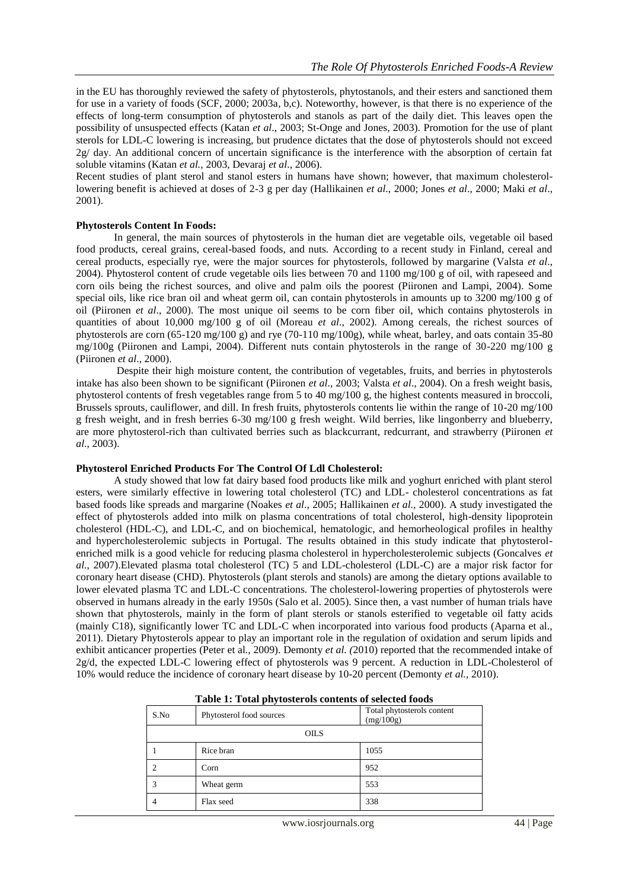in the EU has thoroughly reviewed the safety of phytosterols, phytostanols, and their esters and sanctioned them for use in a variety of foods (SCF, 2000; 2003a, b,c). Noteworthy, however, is that there is no experience of the effects of long-term consumption of phytosterols and stanols as part of the daily diet. This leaves open the possibility of unsuspected effects (Katan *et al*., 2003; St-Onge and Jones, 2003). Promotion for the use of plant sterols for LDL-C lowering is increasing, but prudence dictates that the dose of phytosterols should not exceed 2g/ day. An additional concern of uncertain significance is the interference with the absorption of certain fat soluble vitamins (Katan *et al.,* 2003, Devaraj *et al*., 2006).

Recent studies of plant sterol and stanol esters in humans have shown; however, that maximum cholesterollowering benefit is achieved at doses of 2-3 g per day (Hallikainen *et al*., 2000; Jones *et al*., 2000; Maki *et al*., 2001).

#### **Phytosterols Content In Foods:**

In general, the main sources of phytosterols in the human diet are vegetable oils, vegetable oil based food products, cereal grains, cereal-based foods, and nuts. According to a recent study in Finland, cereal and cereal products, especially rye, were the major sources for phytosterols, followed by margarine (Valsta *et al*., 2004). Phytosterol content of crude vegetable oils lies between 70 and 1100 mg/100 g of oil, with rapeseed and corn oils being the richest sources, and olive and palm oils the poorest (Piironen and Lampi, 2004). Some special oils, like rice bran oil and wheat germ oil, can contain phytosterols in amounts up to 3200 mg/100 g of oil (Piironen *et al*., 2000). The most unique oil seems to be corn fiber oil, which contains phytosterols in quantities of about 10,000 mg/100 g of oil (Moreau *et al*., 2002). Among cereals, the richest sources of phytosterols are corn  $(65-120 \text{ mg}/100 \text{ g})$  and rye  $(70-110 \text{ mg}/100 \text{ g})$ , while wheat, barley, and oats contain 35-80 mg/100g (Piironen and Lampi, 2004). Different nuts contain phytosterols in the range of 30-220 mg/100 g (Piironen *et al*., 2000).

Despite their high moisture content, the contribution of vegetables, fruits, and berries in phytosterols intake has also been shown to be significant (Piironen *et al*., 2003; Valsta *et al*., 2004). On a fresh weight basis, phytosterol contents of fresh vegetables range from 5 to 40 mg/100 g, the highest contents measured in broccoli, Brussels sprouts, cauliflower, and dill. In fresh fruits, phytosterols contents lie within the range of 10-20 mg/100 g fresh weight, and in fresh berries 6-30 mg/100 g fresh weight. Wild berries, like lingonberry and blueberry, are more phytosterol-rich than cultivated berries such as blackcurrant, redcurrant, and strawberry (Piironen *et al*., 2003).

#### **Phytosterol Enriched Products For The Control Of Ldl Cholesterol:**

A study showed that low fat dairy based food products like milk and yoghurt enriched with plant sterol esters, were similarly effective in lowering total cholesterol (TC) and LDL- cholesterol concentrations as fat based foods like spreads and margarine (Noakes *et al*., 2005; Hallikainen *et al.,* 2000). A study investigated the effect of phytosterols added into milk on plasma concentrations of total cholesterol, high-density lipoprotein cholesterol (HDL-C), and LDL-C, and on biochemical, hematologic, and hemorheological profiles in healthy and hypercholesterolemic subjects in Portugal. The results obtained in this study indicate that phytosterolenriched milk is a good vehicle for reducing plasma cholesterol in hypercholesterolemic subjects (Goncalves *et al*., 2007).Elevated plasma total cholesterol (TC) 5 and LDL-cholesterol (LDL-C) are a major risk factor for coronary heart disease (CHD). Phytosterols (plant sterols and stanols) are among the dietary options available to lower elevated plasma TC and LDL-C concentrations. The cholesterol-lowering properties of phytosterols were observed in humans already in the early 1950s (Salo et al. 2005). Since then, a vast number of human trials have shown that phytosterols, mainly in the form of plant sterols or stanols esterified to vegetable oil fatty acids (mainly C18), significantly lower TC and LDL-C when incorporated into various food products (Aparna et al., 2011). Dietary Phytosterols appear to play an important role in the regulation of oxidation and serum lipids and exhibit anticancer properties (Peter et al*.,* 2009). Demonty *et al. (*2010) reported that the recommended intake of 2g/d, the expected LDL-C lowering effect of phytosterols was 9 percent. A reduction in LDL-Cholesterol of 10% would reduce the incidence of coronary heart disease by 10-20 percent (Demonty *et al.,* 2010).

| Table 1: Total phytosterols contents of selected foods |                          |                                         |  |  |
|--------------------------------------------------------|--------------------------|-----------------------------------------|--|--|
| S.No                                                   | Phytosterol food sources | Total phytosterols content<br>(mg/100g) |  |  |
| <b>OILS</b>                                            |                          |                                         |  |  |
|                                                        | Rice bran                | 1055                                    |  |  |
|                                                        | Corn                     | 952                                     |  |  |
| 3                                                      | Wheat germ               | 553                                     |  |  |
|                                                        | Flax seed                | 338                                     |  |  |

| Table 1: Total phytosterols contents of selected foods |  |  |
|--------------------------------------------------------|--|--|
|                                                        |  |  |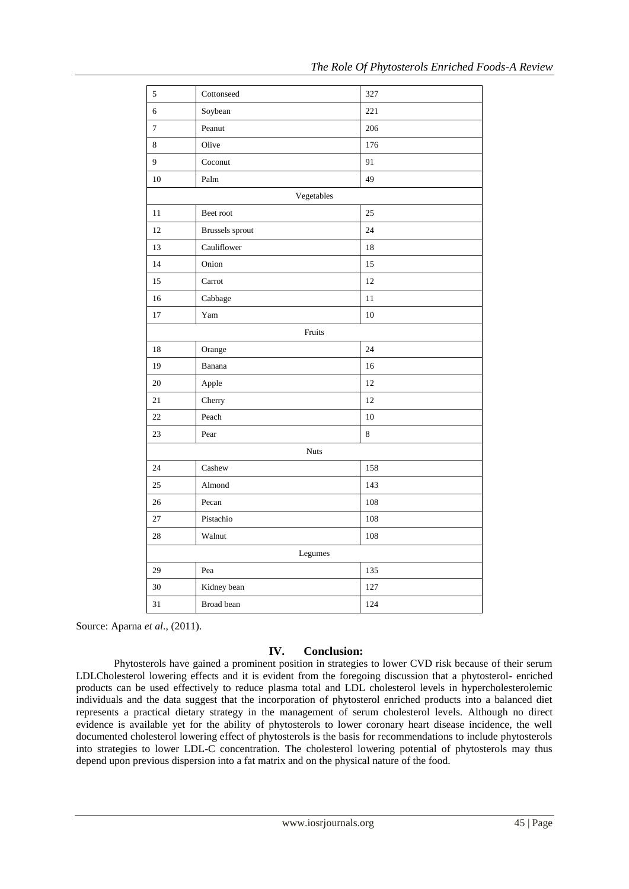| $\sqrt{5}$       | Cottonseed             | 327     |  |  |
|------------------|------------------------|---------|--|--|
| $\sqrt{6}$       | Soybean                | 221     |  |  |
| $\boldsymbol{7}$ | Peanut                 | 206     |  |  |
| 8                | Olive                  | 176     |  |  |
| 9                | Coconut                | 91      |  |  |
| 10               | Palm                   | 49      |  |  |
|                  | Vegetables             |         |  |  |
| 11               | Beet root              | 25      |  |  |
| 12               | <b>Brussels</b> sprout | 24      |  |  |
| 13               | Cauliflower            | 18      |  |  |
| 14               | Onion                  | 15      |  |  |
| 15               | Carrot                 | 12      |  |  |
| 16               | Cabbage                | 11      |  |  |
| $17\,$           | Yam                    | 10      |  |  |
|                  | Fruits                 |         |  |  |
| 18               | Orange                 | 24      |  |  |
| 19               | Banana                 | 16      |  |  |
| 20               | Apple                  | 12      |  |  |
| 21               | Cherry                 | 12      |  |  |
| 22               | Peach                  | 10      |  |  |
| 23               | Pear                   | $\bf 8$ |  |  |
| <b>Nuts</b>      |                        |         |  |  |
| 24               | Cashew                 | 158     |  |  |
| 25               | Almond                 | 143     |  |  |
| 26               | Pecan                  | 108     |  |  |
| 27               | Pistachio              | 108     |  |  |
| $28\,$           | Walnut                 | 108     |  |  |
| Legumes          |                        |         |  |  |
| 29               | Pea                    | 135     |  |  |
| 30               | Kidney bean            | 127     |  |  |
| 31               | <b>Broad</b> bean      | 124     |  |  |

Source: Aparna *et al*., (2011).

# **IV. Conclusion:**

Phytosterols have gained a prominent position in strategies to lower CVD risk because of their serum LDLCholesterol lowering effects and it is evident from the foregoing discussion that a phytosterol- enriched products can be used effectively to reduce plasma total and LDL cholesterol levels in hypercholesterolemic individuals and the data suggest that the incorporation of phytosterol enriched products into a balanced diet represents a practical dietary strategy in the management of serum cholesterol levels. Although no direct evidence is available yet for the ability of phytosterols to lower coronary heart disease incidence, the well documented cholesterol lowering effect of phytosterols is the basis for recommendations to include phytosterols into strategies to lower LDL-C concentration. The cholesterol lowering potential of phytosterols may thus depend upon previous dispersion into a fat matrix and on the physical nature of the food.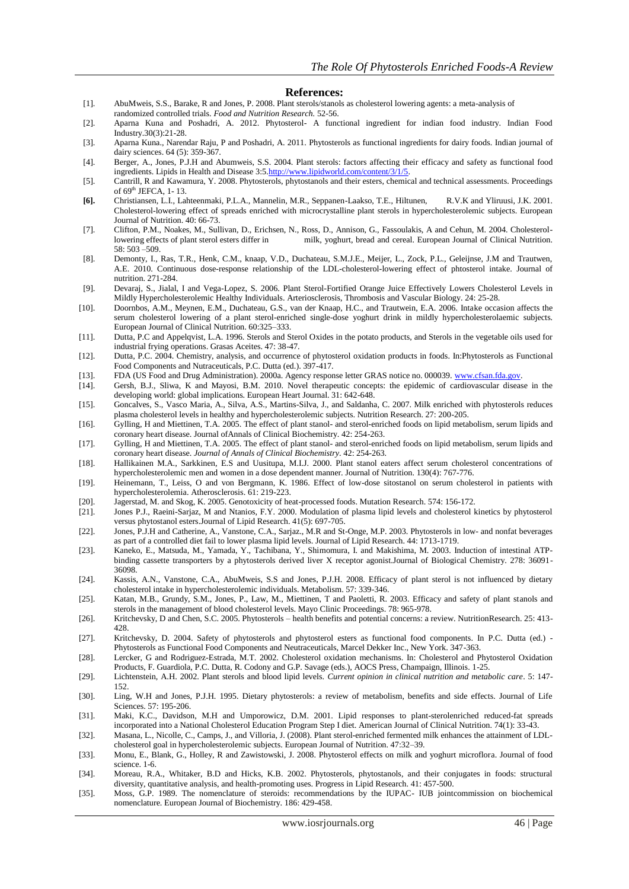#### **References:**

- [1]. AbuMweis, S.S., Barake, R and Jones, P. 2008. Plant sterols/stanols as cholesterol lowering agents: a meta-analysis of
- randomized controlled trials. *Food and Nutrition Research.* 52-56.
- [2]. Aparna Kuna and Poshadri, A. 2012. Phytosterol- A functional ingredient for indian food industry. Indian Food Industry.30(3):21-28.
- [3]. Aparna Kuna., Narendar Raju, P and Poshadri, A. 2011. Phytosterols as functional ingredients for dairy foods. Indian journal of dairy sciences. 64 (5): 359-367. [4]. Berger, A., Jones, P.J.H and Abumweis, S.S. 2004. Plant sterols: factors affecting their efficacy and safety as functional food
- ingredients. Lipids in Health and Disease 3:[5.http://www.lipidworld.com/content/3/1/5.](http://www.lipidworld.com/content/3/1/5)
- [5]. Cantrill, R and Kawamura, Y. 2008. Phytosterols, phytostanols and their esters, chemical and technical assessments. Proceedings of 69<sup>th</sup> JEFCA, 1-13.
- **[6].** Christiansen, L.I., Lahteenmaki, P.L.A., Mannelin, M.R., Seppanen-Laakso, T.E., Hiltunen, R.V.K and Yliruusi, J.K. 2001. Cholesterol-lowering effect of spreads enriched with microcrystalline plant sterols in hypercholesterolemic subjects. European Journal of Nutrition. 40: 66-73.
- [7]. Clifton, P.M., Noakes, M., Sullivan, D., Erichsen, N., Ross, D., Annison, G., Fassoulakis, A and Cehun, M. 2004. Cholesterollowering effects of plant sterol esters differ in milk, yoghurt, bread and cereal. European Journal of Clinical Nutrition. 58: 503 –509.
- [8]. Demonty, I., Ras, T.R., Henk, C.M., knaap, V.D., Duchateau, S.M.J.E., Meijer, L., Zock, P.L., Geleijnse, J.M and Trautwen, A.E. 2010. Continuous dose-response relationship of the LDL-cholesterol-lowering effect of phtosterol intake. Journal of nutrition. 271-284.
- [9]. [Devaraj,](http://atvb.ahajournals.org/search?author1=Sridevi+Devaraj&sortspec=date&submit=Submit) S., [Jialal,](http://atvb.ahajournals.org/search?author1=Ishwarlal+Jialal&sortspec=date&submit=Submit) I and [Vega-Lopez,](http://atvb.ahajournals.org/search?author1=Sonia+Vega-L%C3%B3pez&sortspec=date&submit=Submit) S. 2006. Plant Sterol-Fortified Orange Juice Effectively Lowers Cholesterol Levels in Mildly Hypercholesterolemic Healthy Individuals. Arteriosclerosis, Thrombosis and Vascular Biology. 24: 25-28.
- [10]. Doornbos, A.M., Meynen, E.M., Duchateau, G.S., van der Knaap, H.C., and Trautwein, E.A. 2006. Intake occasion affects the serum cholesterol lowering of a plant sterol-enriched single-dose yoghurt drink in mildly hypercholesterolaemic subjects. European Journal of Clinical Nutrition. 60:325–333.
- [11]. Dutta, P.C and Appelqvist, L.A. 1996. Sterols and Sterol Oxides in the potato products, and Sterols in the vegetable oils used for industrial frying operations. Grasas Aceites. 47: 38-47.
- [12]. Dutta, P.C. 2004. Chemistry, analysis, and occurrence of phytosterol oxidation products in foods. In:Phytosterols as Functional Food Components and Nutraceuticals, P.C. Dutta (ed.). 397-417.
- [13]. FDA (US Food and Drug Administration). 2000a. Agency response letter GRAS notice no. 000039[. www.cfsan.fda.gov.](http://www.cfsan.fda.gov/) [14]. Gersh, B.J., Sliwa, K and Mayosi, B.M. 2010. Novel therapeutic concepts: the epidemic of cardiovas
- [14]. Gersh, B.J., Sliwa, K and Mayosi, B.M. 2010. Novel therapeutic concepts: the epidemic of cardiovascular disease in the developing world: global implications. European Heart Journal. 31: 642-648.
- [15]. Goncalves, S., Vasco Maria, A., Silva, A.S., Martins-Silva, J., and Saldanha, C. 2007. Milk enriched with phytosterols reduces plasma cholesterol levels in healthy and hypercholesterolemic subjects. Nutrition Research. 27: 200-205.
- [16]. Gylling, H and Miettinen, T.A. 2005. The effect of plant stanol- and sterol-enriched foods on lipid metabolism, serum lipids and coronary heart disease. Journal ofAnnals of Clinical Biochemistry. 42: 254-263.
- [17]. Gylling, H and Miettinen, T.A. 2005. The effect of plant stanol- and sterol-enriched foods on lipid metabolism, serum lipids and coronary heart disease. *Journal of Annals of Clinical Biochemistry*. 42: 254-263.
- [18]. Hallikainen M.A., Sarkkinen, E.S and Uusitupa, M.I.J. 2000. Plant stanol eaters affect serum cholesterol concentrations of hypercholesterolemic men and women in a dose dependent manner. Journal of Nutrition. 130(4): 767-776.
- [19]. Heinemann, T., Leiss, O and von Bergmann, K. 1986. Effect of low-dose sitostanol on serum cholesterol in patients with hypercholesterolemia. Atherosclerosis. 61: 219-223.
- [20]. Jagerstad, M. and Skog, K. 2005. Genotoxicity of heat-processed foods. Mutation Research. 574: 156-172.
- [21]. Jones P.J., Raeini-Sarjaz, M and Ntanios, F.Y. 2000. Modulation of plasma lipid levels and cholesterol kinetics by phytosterol versus phytostanol esters.Journal of Lipid Research. 41(5): 697-705.
- [22]. Jones, P.J.H and Catherine, A., Vanstone, C.A., Sarjaz., M.R and St-Onge, M.P. 2003. Phytosterols in low- and nonfat beverages as part of a controlled diet fail to lower plasma lipid levels. Journal of Lipid Research. 44: 1713-1719.
- [23]. Kaneko, E., Matsuda, M., Yamada, Y., Tachibana, Y., Shimomura, I. and Makishima, M. 2003. Induction of intestinal ATPbinding cassette transporters by a phytosterols derived liver X receptor agonist.Journal of Biological Chemistry. 278: 36091- 36098.
- [24]. Kassis, A.N., Vanstone, C.A., AbuMweis, S.S and Jones, P.J.H. 2008. Efficacy of plant sterol is not influenced by dietary cholesterol intake in hypercholesterolemic individuals. Metabolism. 57: 339-346.
- [25]. Katan, M.B., Grundy, S.M., Jones, P., Law, M., Miettinen, T and Paoletti, R. 2003. Efficacy and safety of plant stanols and sterols in the management of blood cholesterol levels. Mayo Clinic Proceedings. 78: 965-978.
- [26]. Kritchevsky, D and Chen, S.C. 2005. Phytosterols health benefits and potential concerns: a review. NutritionResearch. 25: 413- 428.
- [27]. Kritchevsky, D. 2004. Safety of phytosterols and phytosterol esters as functional food components. In P.C. Dutta (ed.) Phytosterols as Functional Food Components and Neutraceuticals, Marcel Dekker Inc., New York. 347-363.
- [28]. Lercker, G and Rodriguez-Estrada, M.T. 2002. Cholesterol oxidation mechanisms. In: Cholesterol and Phytosterol Oxidation Products, F. Guardiola, P.C. Dutta, R. Codony and G.P. Savage (eds.), AOCS Press, Champaign, Illinois. 1-25.
- [29]. Lichtenstein, A.H. 2002. Plant sterols and blood lipid levels. *Current opinion in clinical nutrition and metabolic care*. 5: 147- 152.
- [30]. Ling, W.H and Jones, P.J.H. 1995. Dietary phytosterols: a review of metabolism, benefits and side effects. Journal of Life Sciences. 57: 195-206.
- [31]. Maki, K.C., Davidson, M.H and Umporowicz, D.M. 2001. Lipid responses to plant-sterolenriched reduced-fat spreads incorporated into a National Cholesterol Education Program Step I diet. American Journal of Clinical Nutrition. 74(1): 33-43.
- [32]. Masana, L., Nicolle, C., Camps, J., and Villoria, J. (2008). Plant sterol-enriched fermented milk enhances the attainment of LDLcholesterol goal in hypercholesterolemic subjects. European Journal of Nutrition. 47:32–39.
- [33]. Monu, E., Blank, G., Holley, R and Zawistowski, J. 2008. Phytosterol effects on milk and yoghurt microflora. Journal of food science. 1-6.
- [34]. Moreau, R.A., Whitaker, B.D and Hicks, K.B. 2002. Phytosterols, phytostanols, and their conjugates in foods: structural diversity, quantitative analysis, and health-promoting uses. Progress in Lipid Research. 41: 457-500.
- [35]. Moss, G.P. 1989. The nomenclature of steroids: recommendations by the IUPAC- IUB jointcommission on biochemical nomenclature. European Journal of Biochemistry. 186: 429-458.